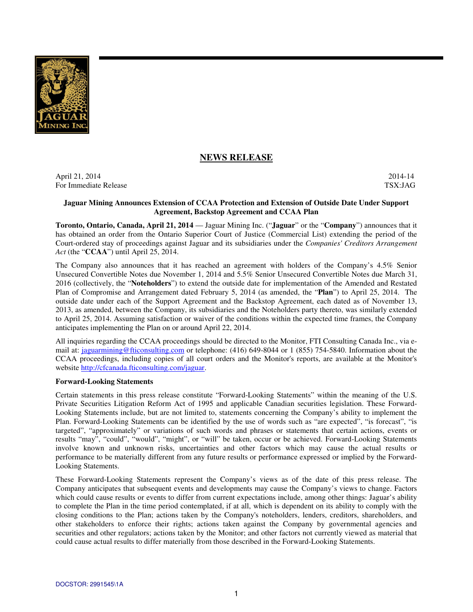

# **NEWS RELEASE**

April 21, 2014 2014-14 For Immediate Release TSX:JAG

#### **Jaguar Mining Announces Extension of CCAA Protection and Extension of Outside Date Under Support Agreement, Backstop Agreement and CCAA Plan**

**Toronto, Ontario, Canada, April 21, 2014** — Jaguar Mining Inc. ("**Jaguar**" or the "**Company**") announces that it has obtained an order from the Ontario Superior Court of Justice (Commercial List) extending the period of the Court-ordered stay of proceedings against Jaguar and its subsidiaries under the *Companies' Creditors Arrangement Act* (the "**CCAA**") until April 25, 2014.

The Company also announces that it has reached an agreement with holders of the Company's 4.5% Senior Unsecured Convertible Notes due November 1, 2014 and 5.5% Senior Unsecured Convertible Notes due March 31, 2016 (collectively, the "**Noteholders**") to extend the outside date for implementation of the Amended and Restated Plan of Compromise and Arrangement dated February 5, 2014 (as amended, the "**Plan**") to April 25, 2014. The outside date under each of the Support Agreement and the Backstop Agreement, each dated as of November 13, 2013, as amended, between the Company, its subsidiaries and the Noteholders party thereto, was similarly extended to April 25, 2014. Assuming satisfaction or waiver of the conditions within the expected time frames, the Company anticipates implementing the Plan on or around April 22, 2014.

All inquiries regarding the CCAA proceedings should be directed to the Monitor, FTI Consulting Canada Inc., via email at: jaguarmining@fticonsulting.com or telephone: (416) 649-8044 or 1 (855) 754-5840. Information about the CCAA proceedings, including copies of all court orders and the Monitor's reports, are available at the Monitor's website http://cfcanada.fticonsulting.com/jaguar.

#### **Forward-Looking Statements**

Certain statements in this press release constitute "Forward-Looking Statements" within the meaning of the U.S. Private Securities Litigation Reform Act of 1995 and applicable Canadian securities legislation. These Forward-Looking Statements include, but are not limited to, statements concerning the Company's ability to implement the Plan. Forward-Looking Statements can be identified by the use of words such as "are expected", "is forecast", "is targeted", "approximately" or variations of such words and phrases or statements that certain actions, events or results "may", "could", "would", "might", or "will" be taken, occur or be achieved. Forward-Looking Statements involve known and unknown risks, uncertainties and other factors which may cause the actual results or performance to be materially different from any future results or performance expressed or implied by the Forward-Looking Statements.

These Forward-Looking Statements represent the Company's views as of the date of this press release. The Company anticipates that subsequent events and developments may cause the Company's views to change. Factors which could cause results or events to differ from current expectations include, among other things: Jaguar's ability to complete the Plan in the time period contemplated, if at all, which is dependent on its ability to comply with the closing conditions to the Plan; actions taken by the Company's noteholders, lenders, creditors, shareholders, and other stakeholders to enforce their rights; actions taken against the Company by governmental agencies and securities and other regulators; actions taken by the Monitor; and other factors not currently viewed as material that could cause actual results to differ materially from those described in the Forward-Looking Statements.